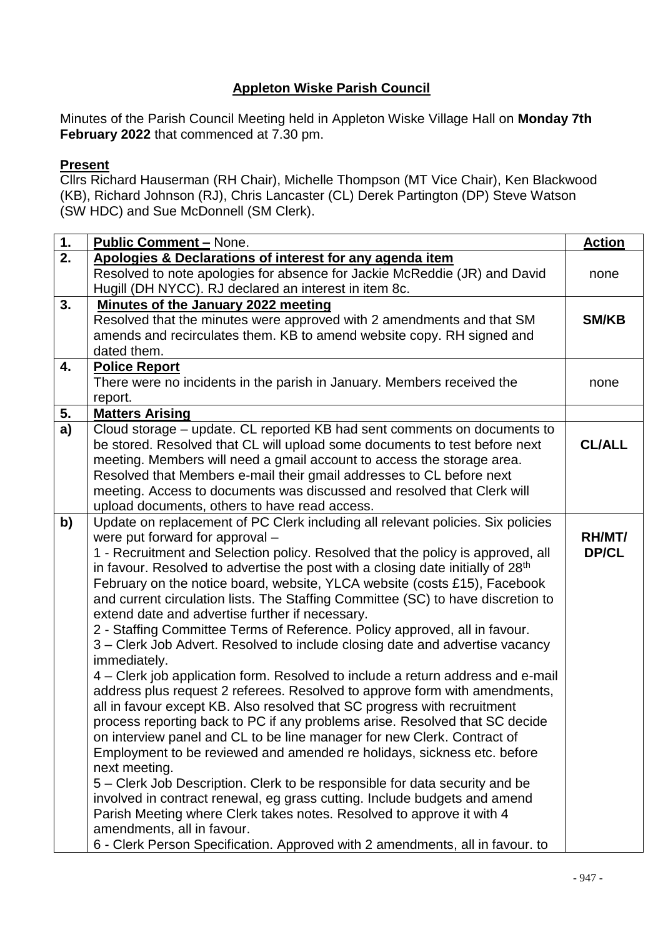## **Appleton Wiske Parish Council**

Minutes of the Parish Council Meeting held in Appleton Wiske Village Hall on **Monday 7th February 2022** that commenced at 7.30 pm.

## **Present**

Cllrs Richard Hauserman (RH Chair), Michelle Thompson (MT Vice Chair), Ken Blackwood (KB), Richard Johnson (RJ), Chris Lancaster (CL) Derek Partington (DP) Steve Watson (SW HDC) and Sue McDonnell (SM Clerk).

| 1.               | <b>Public Comment - None.</b>                                                                                                       | <b>Action</b> |
|------------------|-------------------------------------------------------------------------------------------------------------------------------------|---------------|
| $\overline{2}$ . | Apologies & Declarations of interest for any agenda item                                                                            |               |
|                  | Resolved to note apologies for absence for Jackie McReddie (JR) and David<br>Hugill (DH NYCC). RJ declared an interest in item 8c.  | none          |
| 3.               | <b>Minutes of the January 2022 meeting</b>                                                                                          |               |
|                  | Resolved that the minutes were approved with 2 amendments and that SM                                                               | <b>SM/KB</b>  |
|                  | amends and recirculates them. KB to amend website copy. RH signed and                                                               |               |
|                  | dated them.                                                                                                                         |               |
| 4.               | <b>Police Report</b>                                                                                                                |               |
|                  | There were no incidents in the parish in January. Members received the                                                              | none          |
|                  | report.                                                                                                                             |               |
| 5.               | <b>Matters Arising</b>                                                                                                              |               |
| a)               | Cloud storage – update. CL reported KB had sent comments on documents to                                                            |               |
|                  | be stored. Resolved that CL will upload some documents to test before next                                                          | <b>CL/ALL</b> |
|                  | meeting. Members will need a gmail account to access the storage area.                                                              |               |
|                  | Resolved that Members e-mail their gmail addresses to CL before next                                                                |               |
|                  | meeting. Access to documents was discussed and resolved that Clerk will                                                             |               |
|                  | upload documents, others to have read access.                                                                                       |               |
| b)               | Update on replacement of PC Clerk including all relevant policies. Six policies                                                     |               |
|                  | were put forward for approval -                                                                                                     | RH/MT/        |
|                  | 1 - Recruitment and Selection policy. Resolved that the policy is approved, all                                                     | DP/CL         |
|                  | in favour. Resolved to advertise the post with a closing date initially of 28 <sup>th</sup>                                         |               |
|                  | February on the notice board, website, YLCA website (costs £15), Facebook                                                           |               |
|                  | and current circulation lists. The Staffing Committee (SC) to have discretion to<br>extend date and advertise further if necessary. |               |
|                  | 2 - Staffing Committee Terms of Reference. Policy approved, all in favour.                                                          |               |
|                  | 3 – Clerk Job Advert. Resolved to include closing date and advertise vacancy                                                        |               |
|                  | immediately.                                                                                                                        |               |
|                  | 4 – Clerk job application form. Resolved to include a return address and e-mail                                                     |               |
|                  | address plus request 2 referees. Resolved to approve form with amendments,                                                          |               |
|                  | all in favour except KB. Also resolved that SC progress with recruitment                                                            |               |
|                  | process reporting back to PC if any problems arise. Resolved that SC decide                                                         |               |
|                  | on interview panel and CL to be line manager for new Clerk. Contract of                                                             |               |
|                  | Employment to be reviewed and amended re holidays, sickness etc. before                                                             |               |
|                  | next meeting.                                                                                                                       |               |
|                  | 5 – Clerk Job Description. Clerk to be responsible for data security and be                                                         |               |
|                  | involved in contract renewal, eg grass cutting. Include budgets and amend                                                           |               |
|                  | Parish Meeting where Clerk takes notes. Resolved to approve it with 4                                                               |               |
|                  | amendments, all in favour.                                                                                                          |               |
|                  | 6 - Clerk Person Specification. Approved with 2 amendments, all in favour. to                                                       |               |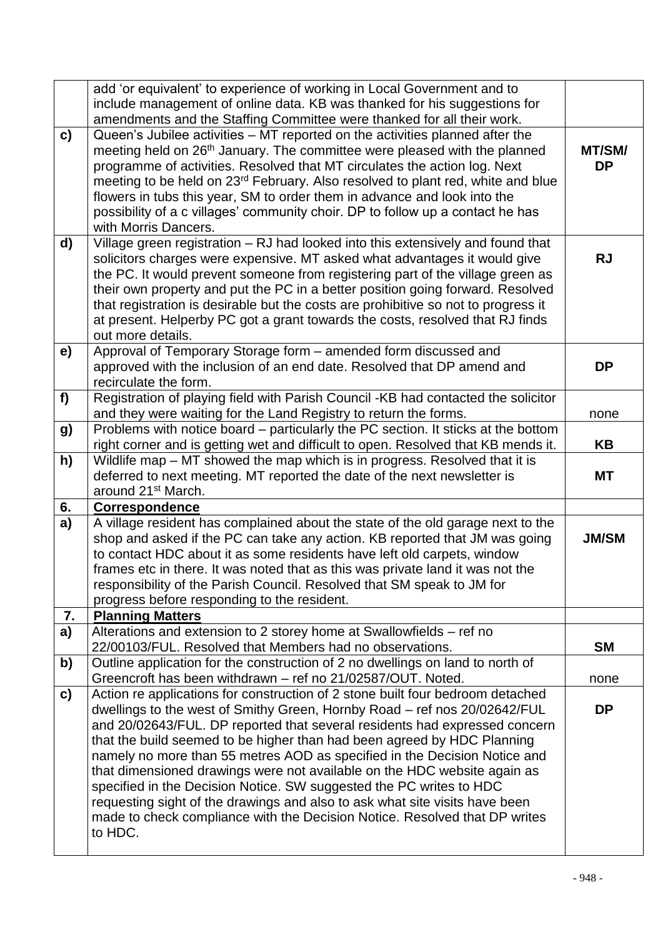|    | add 'or equivalent' to experience of working in Local Government and to                                                                                |              |  |  |  |  |
|----|--------------------------------------------------------------------------------------------------------------------------------------------------------|--------------|--|--|--|--|
|    | include management of online data. KB was thanked for his suggestions for                                                                              |              |  |  |  |  |
|    | amendments and the Staffing Committee were thanked for all their work.                                                                                 |              |  |  |  |  |
| C) | Queen's Jubilee activities - MT reported on the activities planned after the                                                                           |              |  |  |  |  |
|    | meeting held on 26 <sup>th</sup> January. The committee were pleased with the planned                                                                  | MT/SM/       |  |  |  |  |
|    | programme of activities. Resolved that MT circulates the action log. Next                                                                              |              |  |  |  |  |
|    | meeting to be held on 23 <sup>rd</sup> February. Also resolved to plant red, white and blue                                                            |              |  |  |  |  |
|    | flowers in tubs this year, SM to order them in advance and look into the                                                                               |              |  |  |  |  |
|    | possibility of a c villages' community choir. DP to follow up a contact he has                                                                         |              |  |  |  |  |
|    | with Morris Dancers.                                                                                                                                   |              |  |  |  |  |
| d) | Village green registration - RJ had looked into this extensively and found that                                                                        |              |  |  |  |  |
|    | solicitors charges were expensive. MT asked what advantages it would give                                                                              | <b>RJ</b>    |  |  |  |  |
|    | the PC. It would prevent someone from registering part of the village green as                                                                         |              |  |  |  |  |
|    | their own property and put the PC in a better position going forward. Resolved                                                                         |              |  |  |  |  |
|    | that registration is desirable but the costs are prohibitive so not to progress it                                                                     |              |  |  |  |  |
|    | at present. Helperby PC got a grant towards the costs, resolved that RJ finds                                                                          |              |  |  |  |  |
|    | out more details.                                                                                                                                      |              |  |  |  |  |
| e) | Approval of Temporary Storage form - amended form discussed and                                                                                        |              |  |  |  |  |
|    | approved with the inclusion of an end date. Resolved that DP amend and                                                                                 | <b>DP</b>    |  |  |  |  |
|    | recirculate the form.                                                                                                                                  |              |  |  |  |  |
| f  | Registration of playing field with Parish Council -KB had contacted the solicitor                                                                      |              |  |  |  |  |
|    | and they were waiting for the Land Registry to return the forms.                                                                                       | none         |  |  |  |  |
|    | Problems with notice board – particularly the PC section. It sticks at the bottom                                                                      |              |  |  |  |  |
| g) |                                                                                                                                                        | KB           |  |  |  |  |
|    | right corner and is getting wet and difficult to open. Resolved that KB mends it.                                                                      |              |  |  |  |  |
| h) | Wildlife map - MT showed the map which is in progress. Resolved that it is<br>deferred to next meeting. MT reported the date of the next newsletter is | МT           |  |  |  |  |
|    |                                                                                                                                                        |              |  |  |  |  |
|    |                                                                                                                                                        |              |  |  |  |  |
|    | around 21 <sup>st</sup> March.                                                                                                                         |              |  |  |  |  |
| 6. | <b>Correspondence</b>                                                                                                                                  |              |  |  |  |  |
| a) | A village resident has complained about the state of the old garage next to the                                                                        |              |  |  |  |  |
|    | shop and asked if the PC can take any action. KB reported that JM was going                                                                            | <b>JM/SM</b> |  |  |  |  |
|    | to contact HDC about it as some residents have left old carpets, window                                                                                |              |  |  |  |  |
|    | frames etc in there. It was noted that as this was private land it was not the                                                                         |              |  |  |  |  |
|    | responsibility of the Parish Council. Resolved that SM speak to JM for                                                                                 |              |  |  |  |  |
|    | progress before responding to the resident.                                                                                                            |              |  |  |  |  |
| 7. | <b>Planning Matters</b>                                                                                                                                |              |  |  |  |  |
| a) | Alterations and extension to 2 storey home at Swallowfields - ref no                                                                                   |              |  |  |  |  |
|    | 22/00103/FUL. Resolved that Members had no observations.                                                                                               | <b>SM</b>    |  |  |  |  |
| b) | Outline application for the construction of 2 no dwellings on land to north of                                                                         |              |  |  |  |  |
|    | Greencroft has been withdrawn - ref no 21/02587/OUT. Noted.                                                                                            | none         |  |  |  |  |
| c) | Action re applications for construction of 2 stone built four bedroom detached                                                                         |              |  |  |  |  |
|    | dwellings to the west of Smithy Green, Hornby Road - ref nos 20/02642/FUL                                                                              | <b>DP</b>    |  |  |  |  |
|    | and 20/02643/FUL. DP reported that several residents had expressed concern                                                                             |              |  |  |  |  |
|    | that the build seemed to be higher than had been agreed by HDC Planning                                                                                |              |  |  |  |  |
|    | namely no more than 55 metres AOD as specified in the Decision Notice and                                                                              |              |  |  |  |  |
|    | that dimensioned drawings were not available on the HDC website again as                                                                               |              |  |  |  |  |
|    | specified in the Decision Notice. SW suggested the PC writes to HDC                                                                                    |              |  |  |  |  |
|    | requesting sight of the drawings and also to ask what site visits have been                                                                            |              |  |  |  |  |
|    | made to check compliance with the Decision Notice. Resolved that DP writes                                                                             |              |  |  |  |  |
|    | to HDC.                                                                                                                                                |              |  |  |  |  |